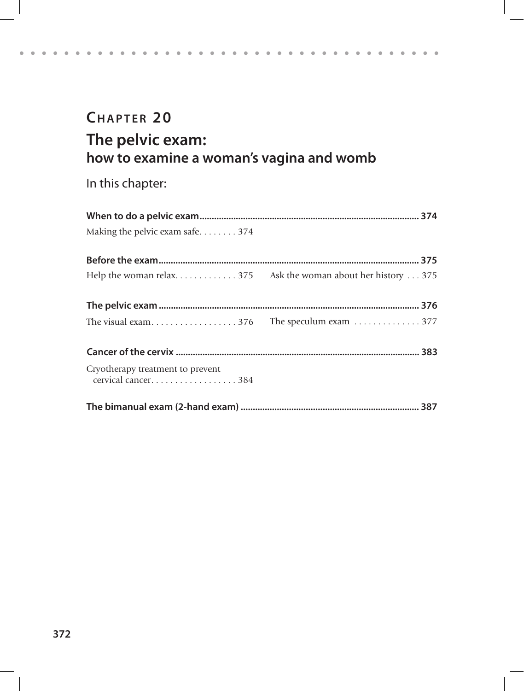# **CHAPTER 20 The pelvic exam: how to examine a woman's vagina and womb**

. . . . . . . . . . . . . . . . . . .

 $\alpha$  .  $\alpha$  $\sim$   $\alpha$  .

 $\mathbf{a} = \mathbf{a} + \mathbf{a} + \mathbf{a}$ 

In this chapter:

 $\bullet$  $\alpha$ 

 $\alpha = \alpha - \alpha$  .

| Making the pelvic exam safe374                         |  |
|--------------------------------------------------------|--|
|                                                        |  |
|                                                        |  |
|                                                        |  |
|                                                        |  |
|                                                        |  |
| Cryotherapy treatment to prevent<br>cervical cancer384 |  |
|                                                        |  |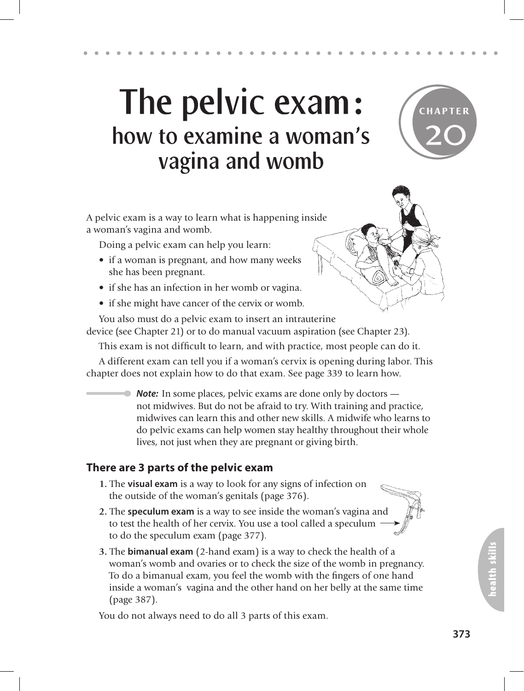# The pelvic exam: how to examine a woman's vagina and womb



A pelvic exam is a way to learn what is happening inside a woman's vagina and womb.

Doing a pelvic exam can help you learn:

- if a woman is pregnant, and how many weeks she has been pregnant.
- if she has an infection in her womb or vagina.
- if she might have cancer of the cervix or womb.

You also must do a pelvic exam to insert an intrauterine

device (see Chapter 21) or to do manual vacuum aspiration (see Chapter 23).

This exam is not difficult to learn, and with practice, most people can do it.

A different exam can tell you if a woman's cervix is opening during labor. This chapter does not explain how to do that exam. See page 339 to learn how.

*Note:* In some places, pelvic exams are done only by doctors not midwives. But do not be afraid to try. With training and practice, midwives can learn this and other new skills. A midwife who learns to do pelvic exams can help women stay healthy throughout their whole lives, not just when they are pregnant or giving birth.

### **There are 3 parts of the pelvic exam**

- **1.** The **visual exam** is a way to look for any signs of infection on the outside of the woman's genitals (page 376).
- **2.** The **speculum exam** is a way to see inside the woman's vagina and to test the health of her cervix. You use a tool called a speculum to do the speculum exam (page 377).
- **3.** The **bimanual exam** (2-hand exam) is a way to check the health of a woman's womb and ovaries or to check the size of the womb in pregnancy. To do a bimanual exam, you feel the womb with the fingers of one hand inside a woman's vagina and the other hand on her belly at the same time (page 387).

You do not always need to do all 3 parts of this exam.

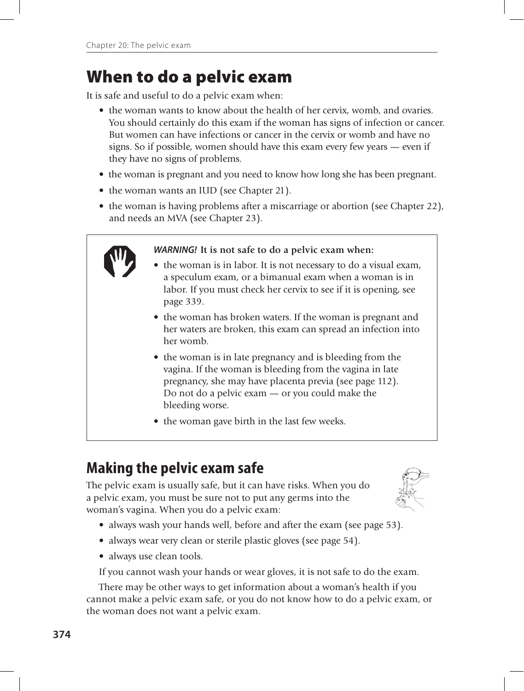# When to do a pelvic exam

It is safe and useful to do a pelvic exam when:

- the woman wants to know about the health of her cervix, womb, and ovaries. You should certainly do this exam if the woman has signs of infection or cancer. But women can have infections or cancer in the cervix or womb and have no signs. So if possible, women should have this exam every few years — even if they have no signs of problems.
- the woman is pregnant and you need to know how long she has been pregnant.
- the woman wants an IUD (see Chapter 21).
- the woman is having problems after a miscarriage or abortion (see Chapter 22), and needs an MVA (see Chapter 23).



#### *WARNING!* **It is not safe to do a pelvic exam when:**

- the woman is in labor. It is not necessary to do a visual exam, a speculum exam, or a bimanual exam when a woman is in labor. If you must check her cervix to see if it is opening, see page 339.
- the woman has broken waters. If the woman is pregnant and her waters are broken, this exam can spread an infection into her womb.
- the woman is in late pregnancy and is bleeding from the vagina. If the woman is bleeding from the vagina in late pregnancy, she may have placenta previa (see page 112). Do not do a pelvic exam — or you could make the bleeding worse.
- the woman gave birth in the last few weeks.

# **Making the pelvic exam safe**

The pelvic exam is usually safe, but it can have risks. When you do a pelvic exam, you must be sure not to put any germs into the woman's vagina. When you do a pelvic exam:



- always wash your hands well, before and after the exam (see page 53).
- always wear very clean or sterile plastic gloves (see page 54).
- always use clean tools.

If you cannot wash your hands or wear gloves, it is not safe to do the exam.

There may be other ways to get information about a woman's health if you cannot make a pelvic exam safe, or you do not know how to do a pelvic exam, or the woman does not want a pelvic exam.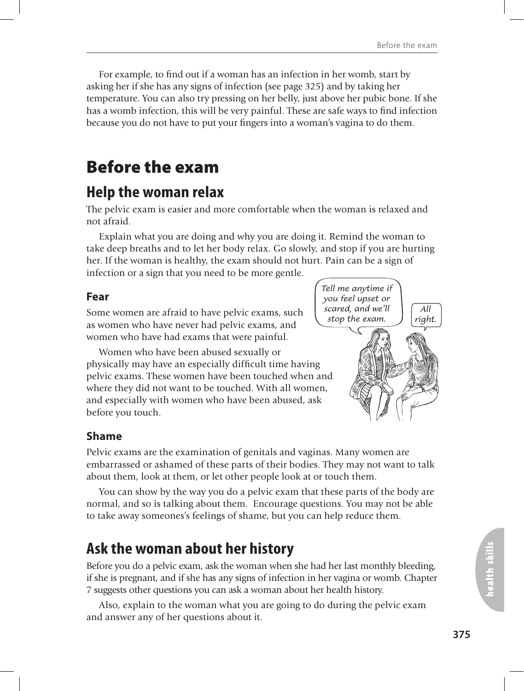For example, to find out if a woman has an infection in her womb, start by asking her if she has any signs of infection (see page 325) and by taking her temperature. You can also try pressing on her belly, just above her pubic bone. If she has a womb infection, this will be very painful. These are safe ways to find infection because you do not have to put your fingers into a woman's vagina to do them.

# Before the exam

### **Help the woman relax**

The pelvic exam is easier and more comfortable when the woman is relaxed and not afraid.

Explain what you are doing and why you are doing it. Remind the woman to take deep breaths and to let her body relax. Go slowly, and stop if you are hurting her. If the woman is healthy, the exam should not hurt. Pain can be a sign of infection or a sign that you need to be more gentle.

#### **Fear**

Some women are afraid to have pelvic exams, such as women who have never had pelvic exams, and women who have had exams that were painful.

Women who have been abused sexually or physically may have an especially difficult time having pelvic exams. These women have been touched when and where they did not want to be touched. With all women, and especially with women who have been abused, ask before you touch.



### **Shame**

Pelvic exams are the examination of genitals and vaginas. Many women are embarrassed or ashamed of these parts of their bodies. They may not want to talk about them, look at them, or let other people look at or touch them.

You can show by the way you do a pelvic exam that these parts of the body are normal, and so is talking about them. Encourage questions. You may not be able to take away someones's feelings of shame, but you can help reduce them.

### **Ask the woman about her history**

Before you do a pelvic exam, ask the woman when she had her last monthly bleeding, if she is pregnant, and if she has any signs of infection in her vagina or womb. Chapter 7 suggests other questions you can ask a woman about her health history.

Also, explain to the woman what you are going to do during the pelvic exam and answer any of her questions about it.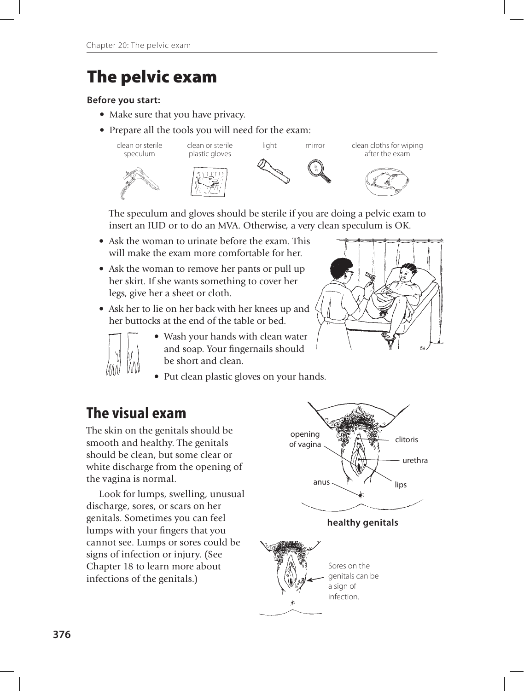# The pelvic exam

#### **Before you start:**

- Make sure that you have privacy.
- Prepare all the tools you will need for the exam:



 The speculum and gloves should be sterile if you are doing a pelvic exam to insert an IUD or to do an MVA. Otherwise, a very clean speculum is OK.

- Ask the woman to urinate before the exam. This will make the exam more comfortable for her.
- Ask the woman to remove her pants or pull up her skirt. If she wants something to cover her legs, give her a sheet or cloth.
- Ask her to lie on her back with her knees up and her buttocks at the end of the table or bed.



- Wash your hands with clean water and soap. Your fingernails should be short and clean.
- Put clean plastic gloves on your hands.

### **The visual exam**

The skin on the genitals should be smooth and healthy. The genitals should be clean, but some clear or white discharge from the opening of the vagina is normal.

Look for lumps, swelling, unusual discharge, sores, or scars on her genitals. Sometimes you can feel lumps with your fingers that you cannot see. Lumps or sores could be signs of infection or injury. (See Chapter 18 to learn more about infections of the genitals.)

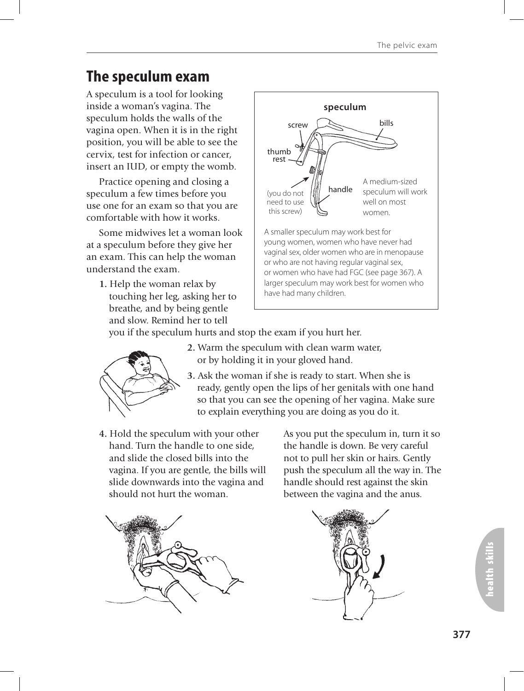# **The speculum exam**

A speculum is a tool for looking inside a woman's vagina. The speculum holds the walls of the vagina open. When it is in the right position, you will be able to see the cervix, test for infection or cancer, insert an IUD, or empty the womb.

Practice opening and closing a speculum a few times before you use one for an exam so that you are comfortable with how it works.

Some midwives let a woman look at a speculum before they give her an exam. This can help the woman understand the exam.

**1.** Help the woman relax by touching her leg, asking her to breathe, and by being gentle and slow. Remind her to tell



you if the speculum hurts and stop the exam if you hurt her.



- **2.** Warm the speculum with clean warm water, or by holding it in your gloved hand.
- **3.** Ask the woman if she is ready to start. When she is ready, gently open the lips of her genitals with one hand so that you can see the opening of her vagina. Make sure to explain everything you are doing as you do it.
- **4.** Hold the speculum with your other hand. Turn the handle to one side, and slide the closed bills into the vagina. If you are gentle, the bills will slide downwards into the vagina and should not hurt the woman.

As you put the speculum in, turn it so the handle is down. Be very careful not to pull her skin or hairs. Gently push the speculum all the way in. The handle should rest against the skin between the vagina and the anus.



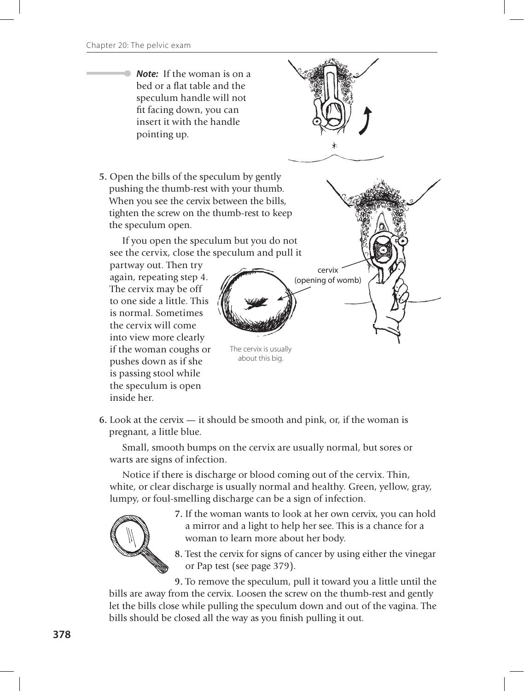*Note:* If the woman is on a bed or a flat table and the speculum handle will not fit facing down, you can insert it with the handle pointing up.



about this big.

**6.** Look at the cervix — it should be smooth and pink, or, if the woman is pregnant, a little blue.

Small, smooth bumps on the cervix are usually normal, but sores or warts are signs of infection.

Notice if there is discharge or blood coming out of the cervix. Thin, white, or clear discharge is usually normal and healthy. Green, yellow, gray, lumpy, or foul-smelling discharge can be a sign of infection.



pushes down as if she is passing stool while the speculum is open

inside her.

**7.** If the woman wants to look at her own cervix, you can hold a mirror and a light to help her see. This is a chance for a woman to learn more about her body.

**8.** Test the cervix for signs of cancer by using either the vinegar or Pap test (see page 379).

**9.** To remove the speculum, pull it toward you a little until the bills are away from the cervix. Loosen the screw on the thumb-rest and gently let the bills close while pulling the speculum down and out of the vagina. The bills should be closed all the way as you finish pulling it out.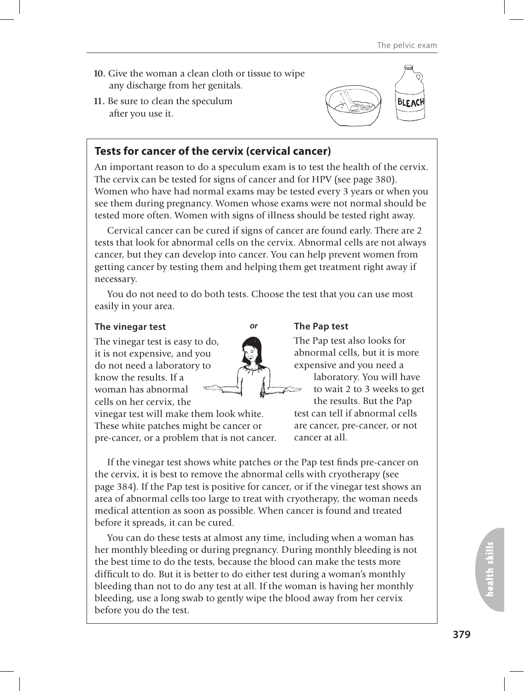- **10.** Give the woman a clean cloth or tissue to wipe any discharge from her genitals.
- **11.** Be sure to clean the speculum after you use it.



### **Tests for cancer of the cervix (cervical cancer)**

An important reason to do a speculum exam is to test the health of the cervix. The cervix can be tested for signs of cancer and for HPV (see page 380). Women who have had normal exams may be tested every 3 years or when you see them during pregnancy. Women whose exams were not normal should be tested more often. Women with signs of illness should be tested right away.

Cervical cancer can be cured if signs of cancer are found early. There are 2 tests that look for abnormal cells on the cervix. Abnormal cells are not always cancer, but they can develop into cancer. You can help prevent women from getting cancer by testing them and helping them get treatment right away if necessary.

You do not need to do both tests. Choose the test that you can use most easily in your area.

*or*

#### **The vinegar test**

The vinegar test is easy to do, it is not expensive, and you do not need a laboratory to know the results. If a woman has abnormal cells on her cervix, the

vinegar test will make them look white. These white patches might be cancer or pre-cancer, or a problem that is not cancer.

#### **The Pap test**

The Pap test also looks for abnormal cells, but it is more expensive and you need a laboratory. You will have to wait 2 to 3 weeks to get

the results. But the Pap test can tell if abnormal cells are cancer, pre-cancer, or not cancer at all.

If the vinegar test shows white patches or the Pap test finds pre-cancer on the cervix, it is best to remove the abnormal cells with cryotherapy (see page 384). If the Pap test is positive for cancer, or if the vinegar test shows an area of abnormal cells too large to treat with cryotherapy, the woman needs medical attention as soon as possible. When cancer is found and treated before it spreads, it can be cured.

You can do these tests at almost any time, including when a woman has her monthly bleeding or during pregnancy. During monthly bleeding is not the best time to do the tests, because the blood can make the tests more difficult to do. But it is better to do either test during a woman's monthly bleeding than not to do any test at all. If the woman is having her monthly bleeding, use a long swab to gently wipe the blood away from her cervix before you do the test.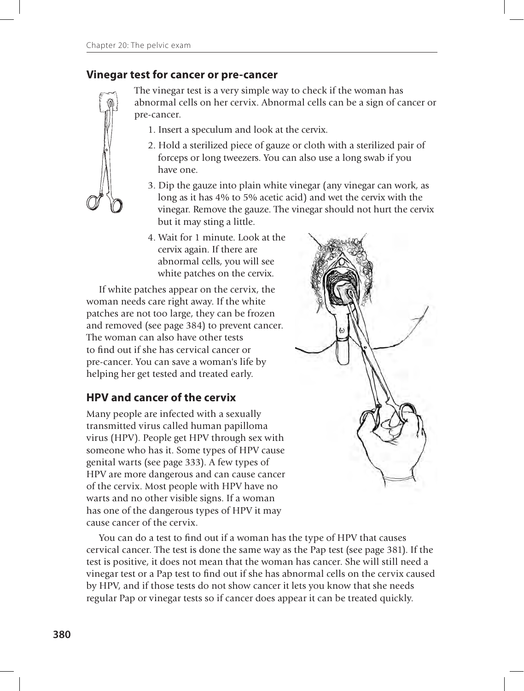### **Vinegar test for cancer or pre-cancer**

The vinegar test is a very simple way to check if the woman has abnormal cells on her cervix. Abnormal cells can be a sign of cancer or pre-cancer.

- 1. Insert a speculum and look at the cervix.
- 2. Hold a sterilized piece of gauze or cloth with a sterilized pair of forceps or long tweezers. You can also use a long swab if you have one.
- 3. Dip the gauze into plain white vinegar (any vinegar can work, as long as it has 4% to 5% acetic acid) and wet the cervix with the vinegar. Remove the gauze. The vinegar should not hurt the cervix but it may sting a little.
- 4. Wait for 1 minute. Look at the cervix again. If there are abnormal cells, you will see white patches on the cervix.

If white patches appear on the cervix, the woman needs care right away. If the white patches are not too large, they can be frozen and removed (see page 384) to prevent cancer. The woman can also have other tests to find out if she has cervical cancer or pre-cancer. You can save a woman's life by helping her get tested and treated early.

### **HPV and cancer of the cervix**

Many people are infected with a sexually transmitted virus called human papilloma virus (HPV). People get HPV through sex with someone who has it. Some types of HPV cause genital warts (see page 333). A few types of HPV are more dangerous and can cause cancer of the cervix. Most people with HPV have no warts and no other visible signs. If a woman has one of the dangerous types of HPV it may cause cancer of the cervix.

You can do a test to find out if a woman has the type of HPV that causes cervical cancer. The test is done the same way as the Pap test (see page 381). If the test is positive, it does not mean that the woman has cancer. She will still need a vinegar test or a Pap test to find out if she has abnormal cells on the cervix caused by HPV, and if those tests do not show cancer it lets you know that she needs regular Pap or vinegar tests so if cancer does appear it can be treated quickly.

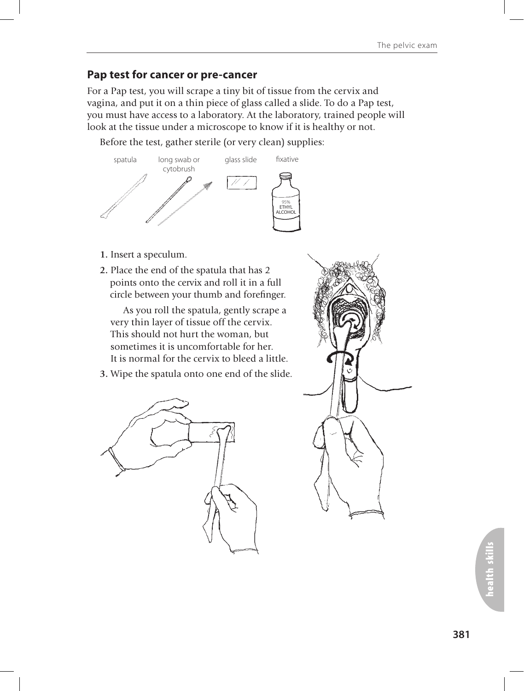### **Pap test for cancer or pre-cancer**

For a Pap test, you will scrape a tiny bit of tissue from the cervix and vagina, and put it on a thin piece of glass called a slide. To do a Pap test, you must have access to a laboratory. At the laboratory, trained people will look at the tissue under a microscope to know if it is healthy or not.

Before the test, gather sterile (or very clean) supplies:



- **1.** Insert a speculum.
- **2.** Place the end of the spatula that has 2 points onto the cervix and roll it in a full circle between your thumb and forefinger.

As you roll the spatula, gently scrape a very thin layer of tissue off the cervix. This should not hurt the woman, but sometimes it is uncomfortable for her. It is normal for the cervix to bleed a little.

**3.** Wipe the spatula onto one end of the slide.



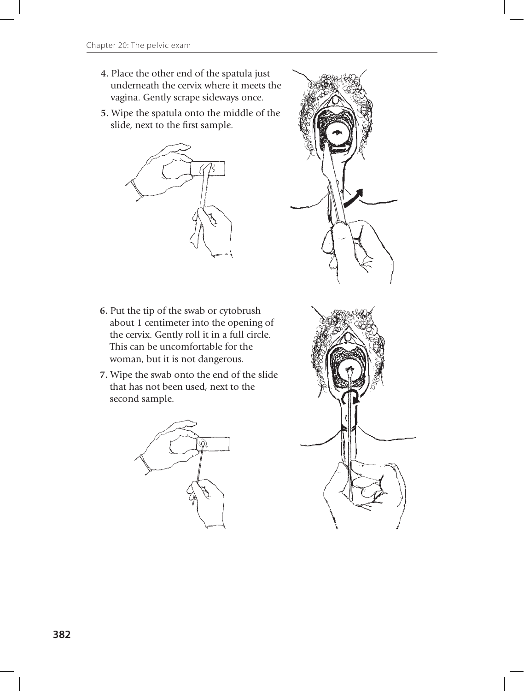- **4.** Place the other end of the spatula just underneath the cervix where it meets the vagina. Gently scrape sideways once.
- **5.** Wipe the spatula onto the middle of the slide, next to the first sample.



- **6.** Put the tip of the swab or cytobrush about 1 centimeter into the opening of the cervix. Gently roll it in a full circle. This can be uncomfortable for the woman, but it is not dangerous.
- **7.** Wipe the swab onto the end of the slide that has not been used, next to the second sample.



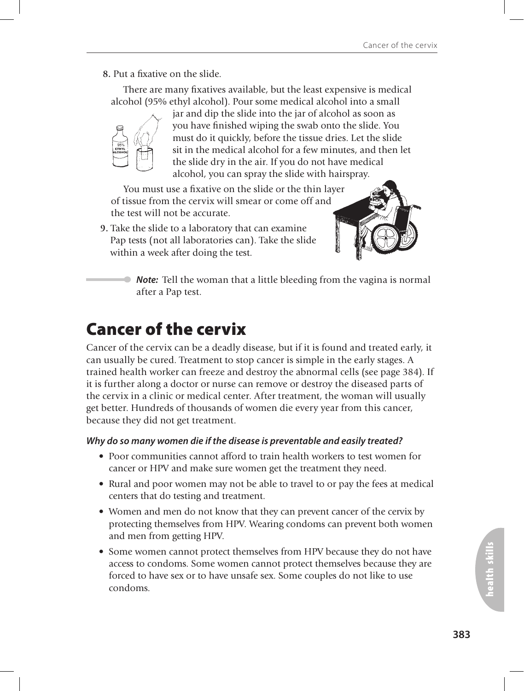#### **8.** Put a fixative on the slide.

There are many fixatives available, but the least expensive is medical alcohol (95% ethyl alcohol). Pour some medical alcohol into a small



jar and dip the slide into the jar of alcohol as soon as you have finished wiping the swab onto the slide. You must do it quickly, before the tissue dries. Let the slide sit in the medical alcohol for a few minutes, and then let the slide dry in the air. If you do not have medical alcohol, you can spray the slide with hairspray.

You must use a fixative on the slide or the thin layer of tissue from the cervix will smear or come off and the test will not be accurate.

**9.** Take the slide to a laboratory that can examine Pap tests (not all laboratories can). Take the slide within a week after doing the test.



*Note:* Tell the woman that a little bleeding from the vagina is normal after a Pap test.

# Cancer of the cervix

Cancer of the cervix can be a deadly disease, but if it is found and treated early, it can usually be cured. Treatment to stop cancer is simple in the early stages. A trained health worker can freeze and destroy the abnormal cells (see page 384). If it is further along a doctor or nurse can remove or destroy the diseased parts of the cervix in a clinic or medical center. After treatment, the woman will usually get better. Hundreds of thousands of women die every year from this cancer, because they did not get treatment.

#### *Why do so many women die if the disease is preventable and easily treated?*

- Poor communities cannot afford to train health workers to test women for cancer or HPV and make sure women get the treatment they need.
- Rural and poor women may not be able to travel to or pay the fees at medical centers that do testing and treatment.
- Women and men do not know that they can prevent cancer of the cervix by protecting themselves from HPV. Wearing condoms can prevent both women and men from getting HPV.
- Some women cannot protect themselves from HPV because they do not have access to condoms. Some women cannot protect themselves because they are forced to have sex or to have unsafe sex. Some couples do not like to use condoms.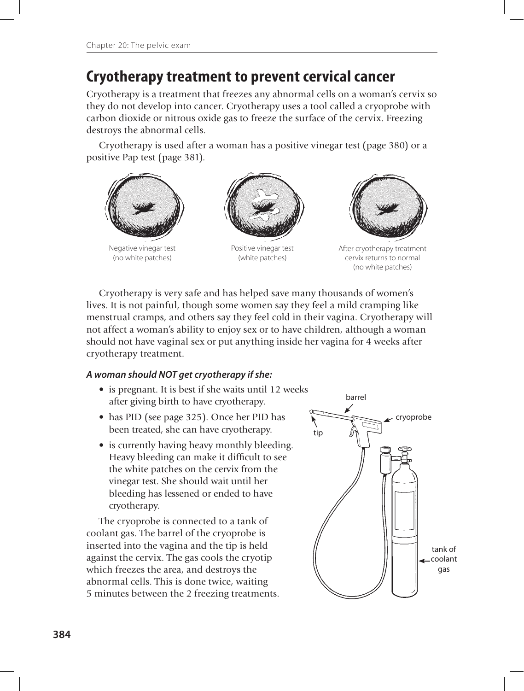### **Cryotherapy treatment to prevent cervical cancer**

Cryotherapy is a treatment that freezes any abnormal cells on a woman's cervix so they do not develop into cancer. Cryotherapy uses a tool called a cryoprobe with carbon dioxide or nitrous oxide gas to freeze the surface of the cervix. Freezing destroys the abnormal cells.

Cryotherapy is used after a woman has a positive vinegar test (page 380) or a positive Pap test (page 381).



Cryotherapy is very safe and has helped save many thousands of women's lives. It is not painful, though some women say they feel a mild cramping like menstrual cramps, and others say they feel cold in their vagina. Cryotherapy will not affect a woman's ability to enjoy sex or to have children, although a woman should not have vaginal sex or put anything inside her vagina for 4 weeks after cryotherapy treatment.

#### *A woman should NOT get cryotherapy if she:*

- is pregnant. It is best if she waits until 12 weeks after giving birth to have cryotherapy.
- has PID (see page 325). Once her PID has been treated, she can have cryotherapy.
- is currently having heavy monthly bleeding. Heavy bleeding can make it difficult to see the white patches on the cervix from the vinegar test. She should wait until her bleeding has lessened or ended to have cryotherapy.

The cryoprobe is connected to a tank of coolant gas. The barrel of the cryoprobe is inserted into the vagina and the tip is held against the cervix. The gas cools the cryotip which freezes the area, and destroys the abnormal cells. This is done twice, waiting 5 minutes between the 2 freezing treatments.

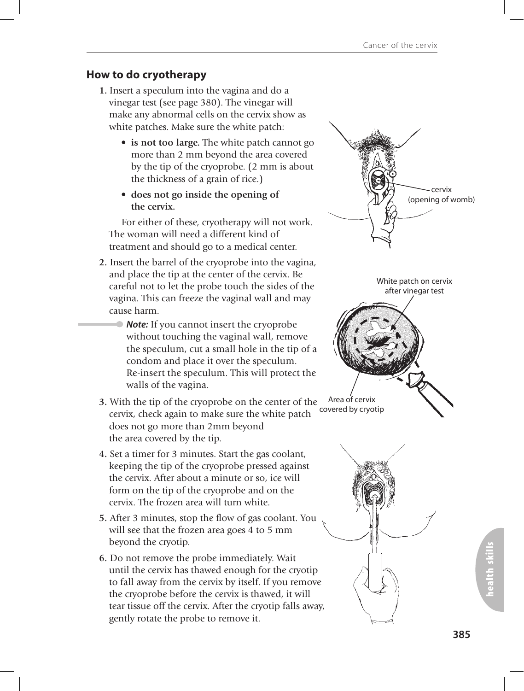### **How to do cryotherapy**

- **1.** Insert a speculum into the vagina and do a vinegar test (see page 380). The vinegar will make any abnormal cells on the cervix show as white patches. Make sure the white patch:
	- **is not too large.** The white patch cannot go more than 2 mm beyond the area covered by the tip of the cryoprobe. (2 mm is about the thickness of a grain of rice.)
	- **does not go inside the opening of the cervix.**

For either of these, cryotherapy will not work. The woman will need a different kind of treatment and should go to a medical center.

- **2.** Insert the barrel of the cryoprobe into the vagina, and place the tip at the center of the cervix. Be careful not to let the probe touch the sides of the vagina. This can freeze the vaginal wall and may cause harm.
	- *Note:* If you cannot insert the cryoprobe without touching the vaginal wall, remove the speculum, cut a small hole in the tip of a condom and place it over the speculum. Re-insert the speculum. This will protect the walls of the vagina.
- **3.** With the tip of the cryoprobe on the center of the cervix, check again to make sure the white patch does not go more than 2mm beyond the area covered by the tip.
- **4.** Set a timer for 3 minutes. Start the gas coolant, keeping the tip of the cryoprobe pressed against the cervix. After about a minute or so, ice will form on the tip of the cryoprobe and on the cervix. The frozen area will turn white.
- **5.** After 3 minutes, stop the flow of gas coolant. You will see that the frozen area goes 4 to 5 mm beyond the cryotip.
- **6.** Do not remove the probe immediately. Wait until the cervix has thawed enough for the cryotip to fall away from the cervix by itself. If you remove the cryoprobe before the cervix is thawed, it will tear tissue off the cervix. After the cryotip falls away, gently rotate the probe to remove it.



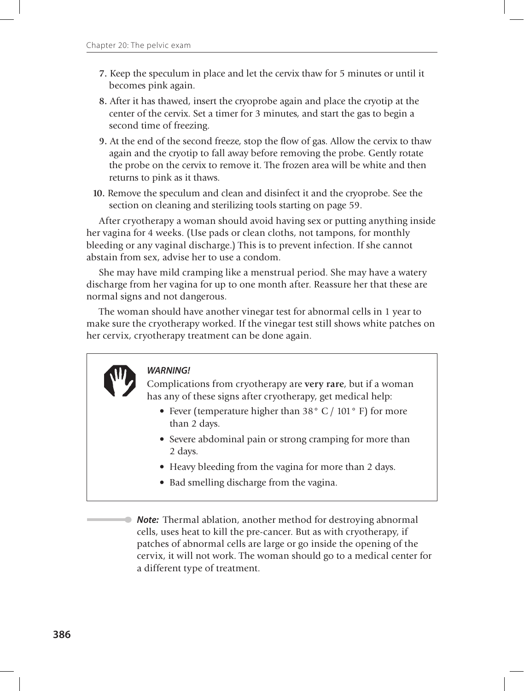- **7.** Keep the speculum in place and let the cervix thaw for 5 minutes or until it becomes pink again.
- **8.** After it has thawed, insert the cryoprobe again and place the cryotip at the center of the cervix. Set a timer for 3 minutes, and start the gas to begin a second time of freezing.
- **9.** At the end of the second freeze, stop the flow of gas. Allow the cervix to thaw again and the cryotip to fall away before removing the probe. Gently rotate the probe on the cervix to remove it. The frozen area will be white and then returns to pink as it thaws.
- **10.** Remove the speculum and clean and disinfect it and the cryoprobe. See the section on cleaning and sterilizing tools starting on page 59.

After cryotherapy a woman should avoid having sex or putting anything inside her vagina for 4 weeks. (Use pads or clean cloths, not tampons, for monthly bleeding or any vaginal discharge.) This is to prevent infection. If she cannot abstain from sex, advise her to use a condom.

She may have mild cramping like a menstrual period. She may have a watery discharge from her vagina for up to one month after. Reassure her that these are normal signs and not dangerous.

The woman should have another vinegar test for abnormal cells in 1 year to make sure the cryotherapy worked. If the vinegar test still shows white patches on her cervix, cryotherapy treatment can be done again.

### *WARNING!*

Complications from cryotherapy are **very rare**, but if a woman has any of these signs after cryotherapy, get medical help:

- Fever (temperature higher than 38° C / 101° F) for more than 2 days.
- Severe abdominal pain or strong cramping for more than 2 days.
- Heavy bleeding from the vagina for more than 2 days.
- Bad smelling discharge from the vagina.

 *Note:* Thermal ablation, another method for destroying abnormal cells, uses heat to kill the pre-cancer. But as with cryotherapy, if patches of abnormal cells are large or go inside the opening of the cervix, it will not work. The woman should go to a medical center for a different type of treatment.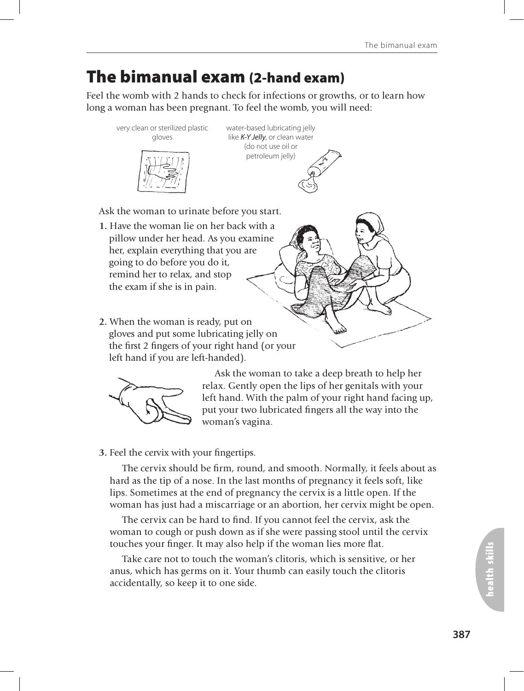## The bimanual exam (2-hand exam)

Feel the womb with 2 hands to check for infections or growths, or to learn how long a woman has been pregnant. To feel the womb, you will need:



water-based lubricating jelly like *K-Y Jelly*, or clean water (do not use oil or petroleum jelly)

Ask the woman to urinate before you start.

- **1.** Have the woman lie on her back with a pillow under her head. As you examine her, explain everything that you are going to do before you do it, remind her to relax, and stop the exam if she is in pain.
- **2.** When the woman is ready, put on gloves and put some lubricating jelly on the first 2 fingers of your right hand (or your left hand if you are left-handed).



Ask the woman to take a deep breath to help her relax. Gently open the lips of her genitals with your left hand. With the palm of your right hand facing up, put your two lubricated fingers all the way into the woman's vagina.

#### **3.** Feel the cervix with your fingertips.

The cervix should be firm, round, and smooth. Normally, it feels about as hard as the tip of a nose. In the last months of pregnancy it feels soft, like lips. Sometimes at the end of pregnancy the cervix is a little open. If the woman has just had a miscarriage or an abortion, her cervix might be open.

The cervix can be hard to find. If you cannot feel the cervix, ask the woman to cough or push down as if she were passing stool until the cervix touches your finger. It may also help if the woman lies more flat.

Take care not to touch the woman's clitoris, which is sensitive, or her anus, which has germs on it. Your thumb can easily touch the clitoris accidentally, so keep it to one side.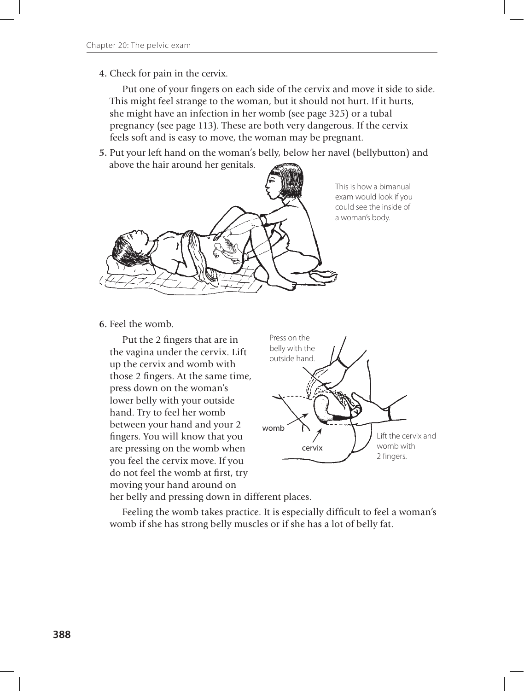**4.** Check for pain in the cervix.

Put one of your fingers on each side of the cervix and move it side to side. This might feel strange to the woman, but it should not hurt. If it hurts, she might have an infection in her womb (see page 325) or a tubal pregnancy (see page 113). These are both very dangerous. If the cervix feels soft and is easy to move, the woman may be pregnant.

**5.** Put your left hand on the woman's belly, below her navel (bellybutton) and above the hair around her genitals.



This is how a bimanual exam would look if you could see the inside of a woman's body.

**6.** Feel the womb.

Put the 2 fingers that are in the vagina under the cervix. Lift up the cervix and womb with those 2 fingers. At the same time, press down on the woman's lower belly with your outside hand. Try to feel her womb between your hand and your 2 fingers. You will know that you are pressing on the womb when you feel the cervix move. If you do not feel the womb at first, try moving your hand around on



her belly and pressing down in different places.

Feeling the womb takes practice. It is especially difficult to feel a woman's womb if she has strong belly muscles or if she has a lot of belly fat.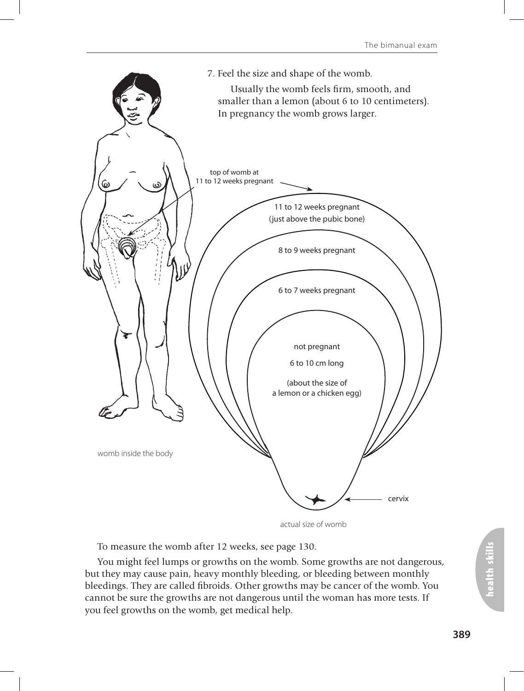

actual size of womb

To measure the womb after 12 weeks, see page 130.

You might feel lumps or growths on the womb. Some growths are not dangerous, but they may cause pain, heavy monthly bleeding, or bleeding between monthly bleedings. They are called fibroids. Other growths may be cancer of the womb. You cannot be sure the growths are not dangerous until the woman has more tests. If you feel growths on the womb, get medical help.